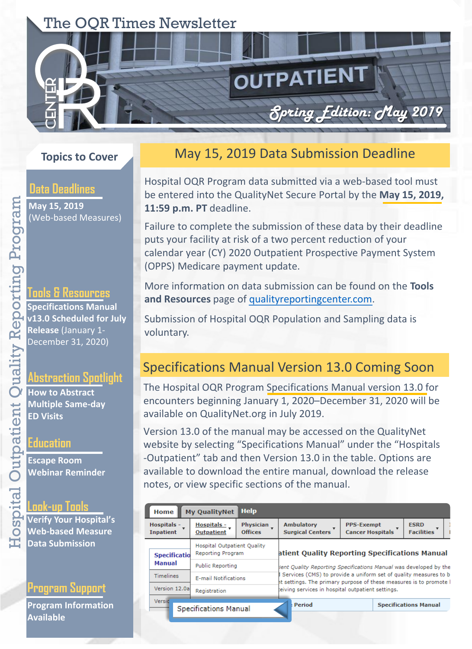# The OQR Times Newsletter

# **Topics to Cover**

### **Data Deadlines**

**May 15, 2019**  (Web-based Measures)

#### **Tools & Resources**

**Specifications Manual v13.0 Scheduled for July Release** (January 1- December 31, 2020)

#### **Abstraction Spotlight**

**How to Abstract Multiple Same-day ED Visits**

#### **Education**

**Escape Room Webinar Reminder**

### **Look-up Tools**

**Verify Your Hospital's Web-based Measure Data Submission**

### **Program Support**

**Program Information Available** 

## May 15, 2019 Data Submission Deadline

OUTPATIENT

*Spring Edition:* May *2019* 

Hospital OQR Program data submitted via a web-based tool must be entered into the QualityNet Secure Portal by the **May 15, 2019, 11:59 p.m. PT** deadline.

Failure to complete the submission of these data by their deadline puts your facility at risk of a two percent reduction of your calendar year (CY) 2020 Outpatient Prospective Payment System (OPPS) Medicare payment update.

More information on data submission can be found on the **Tools and Resources** page of [qualityreportingcenter.com.](https://www.qualityreportingcenter.com/en/hospital-oqr-program/hospital-oqr-program-tools-and-resources/)

Submission of Hospital OQR Population and Sampling data is voluntary.

## Specifications Manual Version 13.0 Coming Soon

The Hospital OQR Program Specifications Manual version 13.0 for encounters beginning January 1, 2020–December 31, 2020 will be available on QualityNet.org in July 2019.

Version 13.0 of the manual may be accessed on the QualityNet website by selecting "Specifications Manual" under the "Hospitals -Outpatient" tab and then Version 13.0 in the table. Options are available to download the entire manual, download the release notes, or view specific sections of the manual.

| Home                            | <b>My QualityNet</b>                                    | <b>Help</b>                 |                                                                                                                                                                                                                                                               |                                              |                                  |
|---------------------------------|---------------------------------------------------------|-----------------------------|---------------------------------------------------------------------------------------------------------------------------------------------------------------------------------------------------------------------------------------------------------------|----------------------------------------------|----------------------------------|
| Hospitals -<br><b>Inpatient</b> | Hospitals -<br><b>Outpatient</b>                        | Physician<br><b>Offices</b> | <b>Ambulatory</b><br><b>Surgical Centers</b>                                                                                                                                                                                                                  | <b>PPS-Exempt</b><br><b>Cancer Hospitals</b> | <b>ESRD</b><br><b>Facilities</b> |
| <b>Specificatio</b>             | <b>Hospital Outpatient Quality</b><br>Reporting Program |                             | atient Quality Reporting Specifications Manual<br>ient Quality Reporting Specifications Manual was developed by the<br>Services (CMS) to provide a uniform set of quality measures to b<br>ht settings. The primary purpose of these measures is to promote I |                                              |                                  |
| Manual                          | <b>Public Reporting</b>                                 |                             |                                                                                                                                                                                                                                                               |                                              |                                  |
| <b>Timelines</b>                | <b>E-mail Notifications</b>                             |                             |                                                                                                                                                                                                                                                               |                                              |                                  |
| Version 12.0al                  | Registration                                            |                             | teiving services in hospital outpatient settings.                                                                                                                                                                                                             |                                              |                                  |
| Versid                          | Specifications Manual                                   |                             | Period                                                                                                                                                                                                                                                        |                                              | <b>Specifications Manual</b>     |